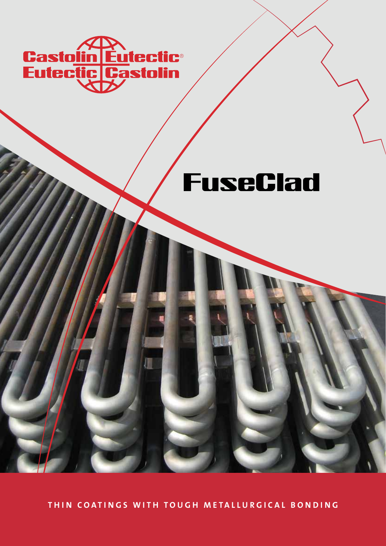

# **FuseClad**

THIN COATINGS WITH TOUGH METALLURGICAL BONDING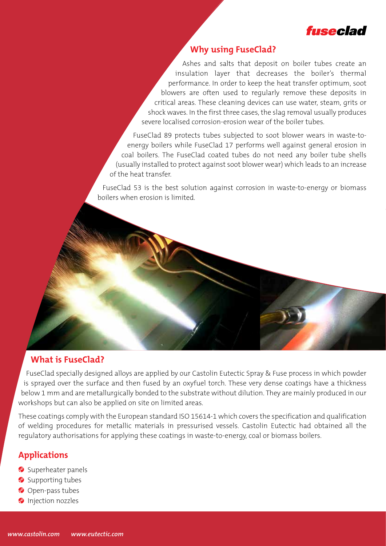

## **Why using FuseClad?**

Ashes and salts that deposit on boiler tubes create an insulation layer that decreases the boiler's thermal performance. In order to keep the heat transfer optimum, soot blowers are often used to regularly remove these deposits in critical areas. These cleaning devices can use water, steam, grits or shock waves. In the first three cases, the slag removal usually produces severe localised corrosion-erosion wear of the boiler tubes.

FuseClad 89 protects tubes subjected to soot blower wears in waste-toenergy boilers while FuseClad 17 performs well against general erosion in coal boilers. The FuseClad coated tubes do not need any boiler tube shells (usually installed to protect against soot blower wear) which leads to an increase of the heat transfer.

FuseClad 53 is the best solution against corrosion in waste-to-energy or biomass boilers when erosion is limited.

### **What is FuseClad?**

FuseClad specially designed alloys are applied by our Castolin Eutectic Spray & Fuse process in which powder is sprayed over the surface and then fused by an oxyfuel torch. These very dense coatings have a thickness below 1 mm and are metallurgically bonded to the substrate without dilution. They are mainly produced in our workshops but can also be applied on site on limited areas.

These coatings comply with the European standard ISO 15614-1 which covers the specification and qualification of welding procedures for metallic materials in pressurised vessels. Castolin Eutectic had obtained all the regulatory authorisations for applying these coatings in waste-to-energy, coal or biomass boilers.

### **Applications**

- Superheater panels
- Supporting tubes
- Open-pass tubes
- **Injection nozzles**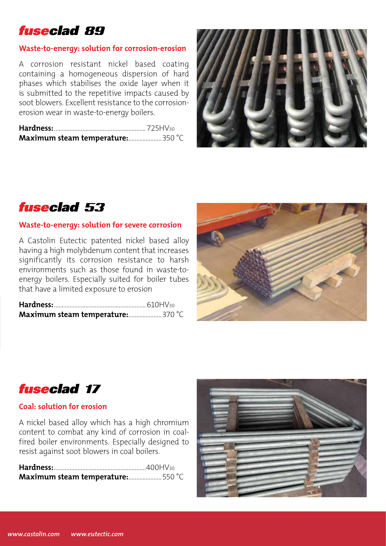# **fuseclad 89**

### **Waste-to-energy: solution for corrosion-erosion**

A corrosion resistant nickel based coating containing a homogeneous dispersion of hard phases which stabilises the oxide layer when it is submitted to the repetitive impacts caused by soot blowers. Excellent resistance to the corrosionerosion wear in waste-to-energy boilers.





#### **Waste-to-energy: solution for severe corrosion**

A Castolin Eutectic patented nickel based alloy having a high molybdenum content that increases significantly its corrosion resistance to harsh environments such as those found in waste-toenergy boilers. Especially suited for boiler tubes that have a limited exposure to erosion

| <b>Maximum steam temperature:</b> 370 °C |
|------------------------------------------|





### **Coal: solution for erosion**

A nickel based alloy which has a high chromium content to combat any kind of corrosion in coalfired boiler environments. Especially designed to resist against soot blowers in coal boilers.

| Maximum steam temperature:550 °C |  |
|----------------------------------|--|